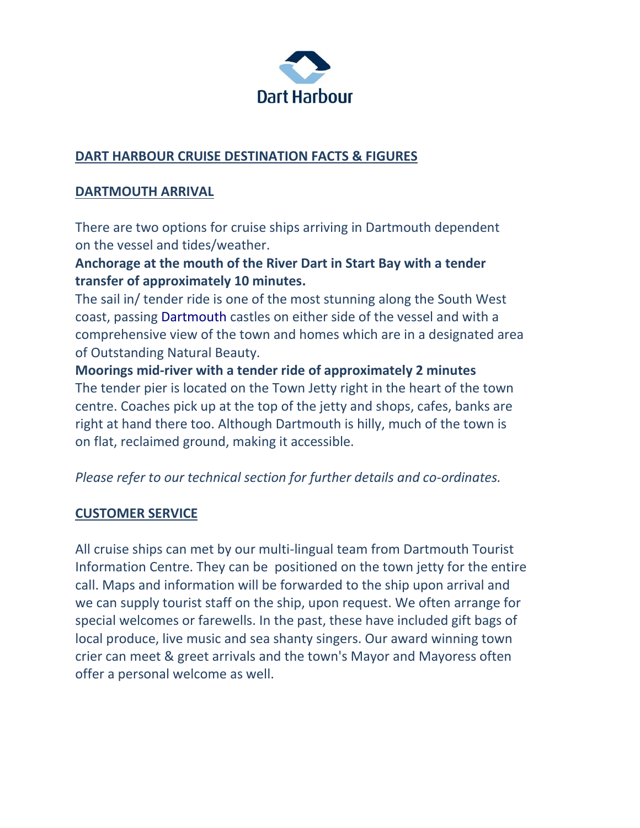

# **DART HARBOUR CRUISE DESTINATION FACTS & FIGURES**

## **DARTMOUTH ARRIVAL**

There are two options for cruise ships arriving in Dartmouth dependent on the vessel and tides/weather.

**Anchorage at the mouth of the River Dart in Start Bay with a tender transfer of approximately 10 minutes.**

The sail in/ tender ride is one of the most stunning along the South West coast, passing Dartmouth castles on either side of the vessel and with a comprehensive view of the town and homes which are in a designated area of Outstanding Natural Beauty.

**Moorings mid-river with a tender ride of approximately 2 minutes** The tender pier is located on the Town Jetty right in the heart of the town centre. Coaches pick up at the top of the jetty and shops, cafes, banks are right at hand there too. Although Dartmouth is hilly, much of the town is on flat, reclaimed ground, making it accessible.

*Please refer to our technical section for further details and co-ordinates.*

## **CUSTOMER SERVICE**

All cruise ships can met by our multi-lingual team from Dartmouth Tourist Information Centre. They can be positioned on the town jetty for the entire call. Maps and information will be forwarded to the ship upon arrival and we can supply tourist staff on the ship, upon request. We often arrange for special welcomes or farewells. In the past, these have included gift bags of local produce, live music and sea shanty singers. Our award winning town crier can meet & greet arrivals and the town's Mayor and Mayoress often offer a personal welcome as well.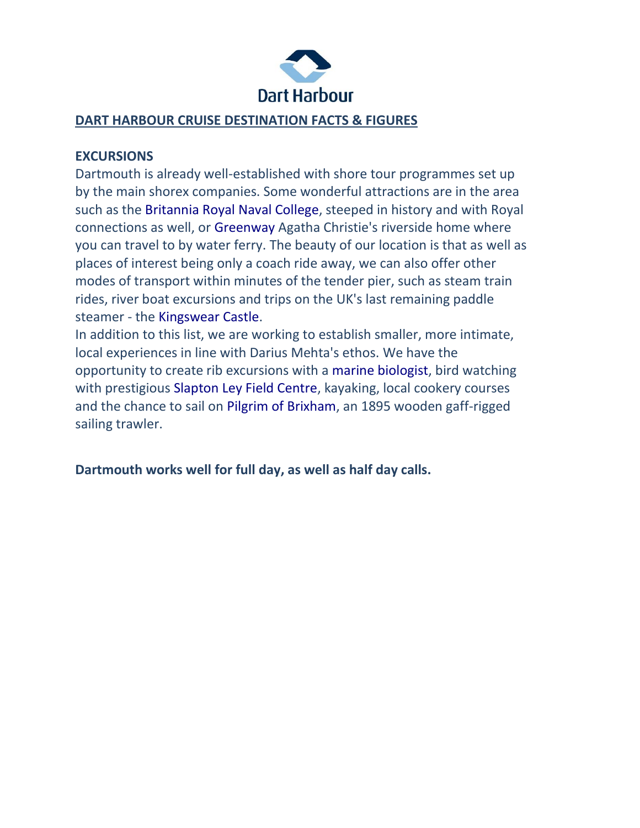

### **DART HARBOUR CRUISE DESTINATION FACTS & FIGURES**

#### **EXCURSIONS**

Dartmouth is already well-established with shore tour programmes set up by the main shorex companies. Some wonderful attractions are in the area such as the Britannia Royal Naval College, steeped in history and with Royal connections as well, or Greenway Agatha Christie's riverside home where you can travel to by water ferry. The beauty of our location is that as well as places of interest being only a coach ride away, we can also offer other modes of transport within minutes of the tender pier, such as steam train rides, river boat excursions and trips on the UK's last remaining paddle steamer - the Kingswear Castle.

In addition to this list, we are working to establish smaller, more intimate, local experiences in line with Darius Mehta's ethos. We have the opportunity to create rib excursions with a marine biologist, bird watching with prestigious Slapton Ley Field Centre, kayaking, local cookery courses and the chance to sail on Pilgrim of Brixham, an 1895 wooden gaff-rigged sailing trawler.

**Dartmouth works well for full day, as well as half day calls.**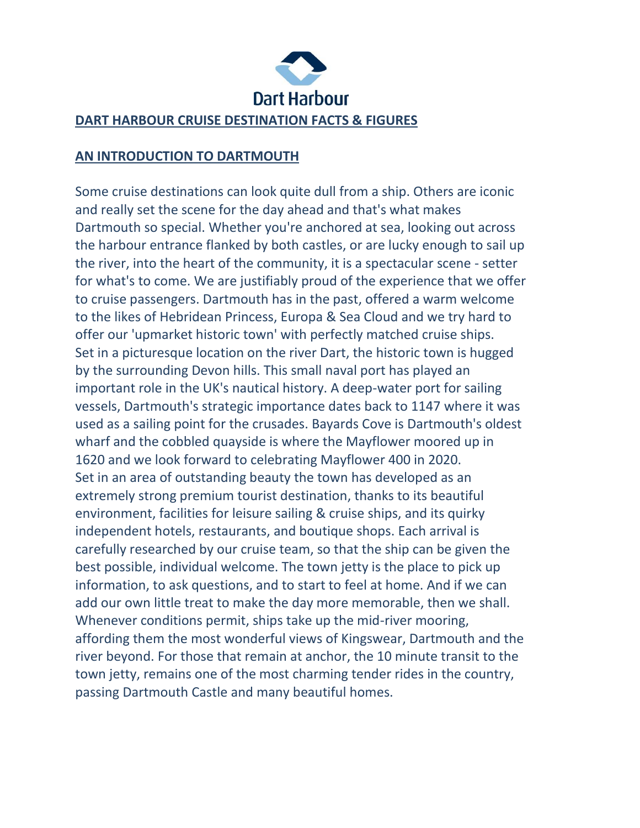

#### **AN INTRODUCTION TO DARTMOUTH**

Some cruise destinations can look quite dull from a ship. Others are iconic and really set the scene for the day ahead and that's what makes Dartmouth so special. Whether you're anchored at sea, looking out across the harbour entrance flanked by both castles, or are lucky enough to sail up the river, into the heart of the community, it is a spectacular scene - setter for what's to come. We are justifiably proud of the experience that we offer to cruise passengers. Dartmouth has in the past, offered a warm welcome to the likes of Hebridean Princess, Europa & Sea Cloud and we try hard to offer our 'upmarket historic town' with perfectly matched cruise ships. Set in a picturesque location on the river Dart, the historic town is hugged by the surrounding Devon hills. This small naval port has played an important role in the UK's nautical history. A deep-water port for sailing vessels, Dartmouth's strategic importance dates back to 1147 where it was used as a sailing point for the crusades. Bayards Cove is Dartmouth's oldest wharf and the cobbled quayside is where the Mayflower moored up in 1620 and we look forward to celebrating Mayflower 400 in 2020. Set in an area of outstanding beauty the town has developed as an extremely strong premium tourist destination, thanks to its beautiful environment, facilities for leisure sailing & cruise ships, and its quirky independent hotels, restaurants, and boutique shops. Each arrival is carefully researched by our cruise team, so that the ship can be given the best possible, individual welcome. The town jetty is the place to pick up information, to ask questions, and to start to feel at home. And if we can add our own little treat to make the day more memorable, then we shall. Whenever conditions permit, ships take up the mid-river mooring, affording them the most wonderful views of Kingswear, Dartmouth and the river beyond. For those that remain at anchor, the 10 minute transit to the town jetty, remains one of the most charming tender rides in the country, passing Dartmouth Castle and many beautiful homes.